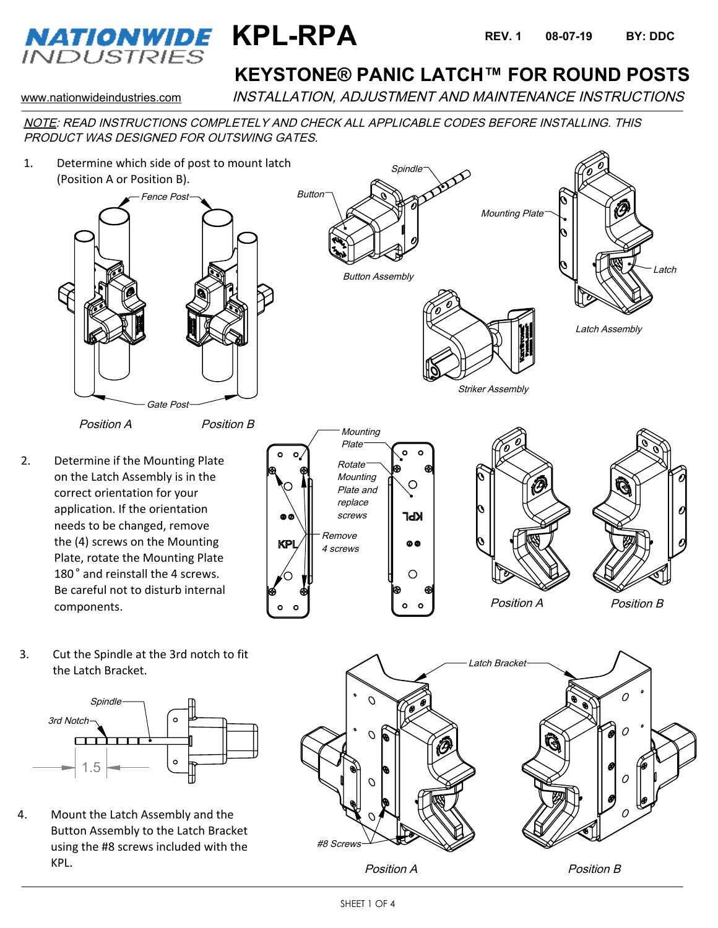

# **KEYSTONE® PANIC LATCH™ FOR ROUND POSTS**

www.nationwideindustries.com INSTALLATION, ADJUSTMENT AND MAINTENANCE INSTRUCTIONS

NOTE: READ INSTRUCTIONS COMPLETELY AND CHECK ALL APPLICABLE CODES BEFORE INSTALLING. THIS PRODUCT WAS DESIGNED FOR OUTSWING GATES.

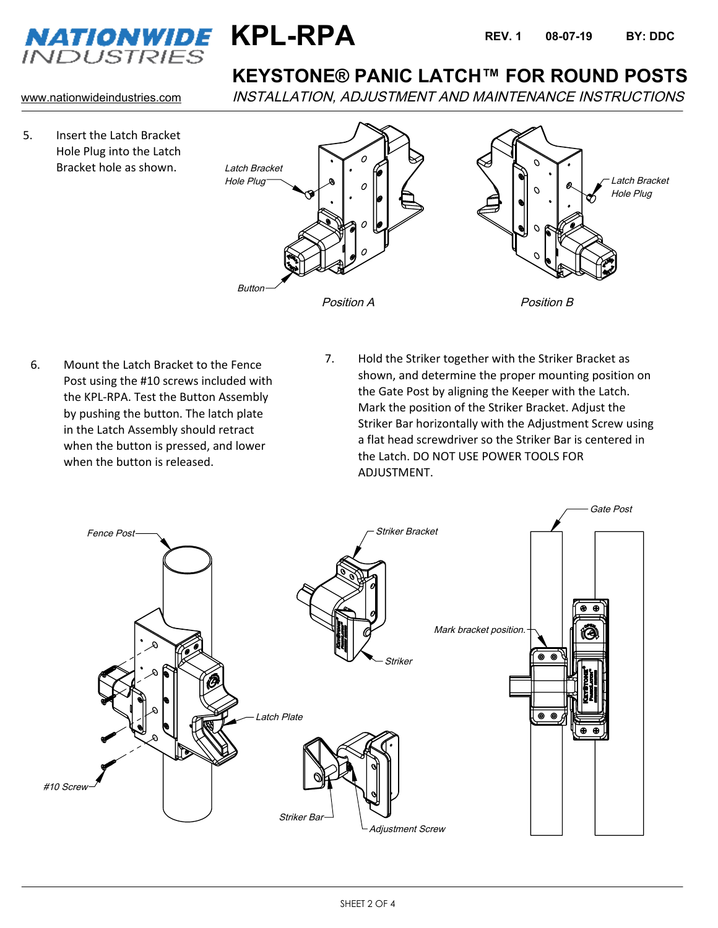



5. Insert the Latch Bracket Hole Plug into the Latch Bracket hole as shown.

#### **KEYSTONE® PANIC LATCH™ FOR ROUND POSTS**

www.nationwideindustries.com INSTALLATION, ADJUSTMENT AND MAINTENANCE INSTRUCTIONS



- 6. Mount the Latch Bracket to the Fence Post using the #10 screws included with the KPL-RPA. Test the Button Assembly by pushing the button. The latch plate in the Latch Assembly should retract when the button is pressed, and lower when the button is released.
- 7. Hold the Striker together with the Striker Bracket as shown, and determine the proper mounting position on the Gate Post by aligning the Keeper with the Latch. Mark the position of the Striker Bracket. Adjust the Striker Bar horizontally with the Adjustment Screw using a flat head screwdriver so the Striker Bar is centered in the Latch. DO NOT USE POWER TOOLS FOR ADJUSTMENT.

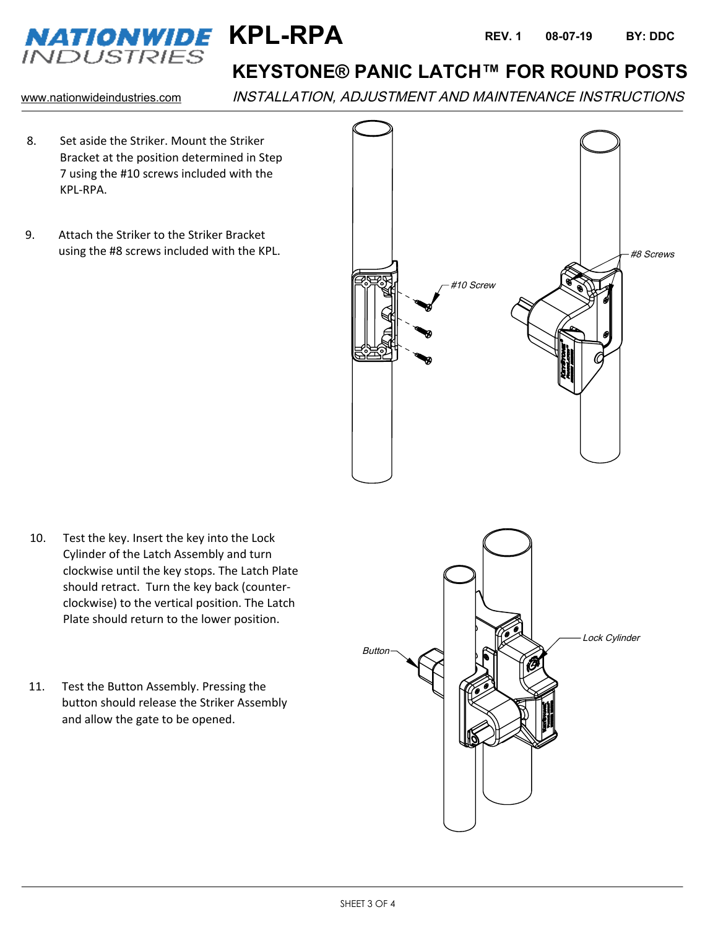

## **KEYSTONE® PANIC LATCH™ FOR ROUND POSTS**

www.nationwideindustries.com INSTALLATION, ADJUSTMENT AND MAINTENANCE INSTRUCTIONS

- 8. Set aside the Striker. Mount the Striker Bracket at the position determined in Step 7 using the #10 screws included with the KPL-RPA.
- 9. Attach the Striker to the Striker Bracket using the #8 screws included with the KPL.



- 10. Test the key. Insert the key into the Lock Cylinder of the Latch Assembly and turn clockwise until the key stops. The Latch Plate should retract. Turn the key back (counterclockwise) to the vertical position. The Latch Plate should return to the lower position.
- 11. Test the Button Assembly. Pressing the button should release the Striker Assembly and allow the gate to be opened.